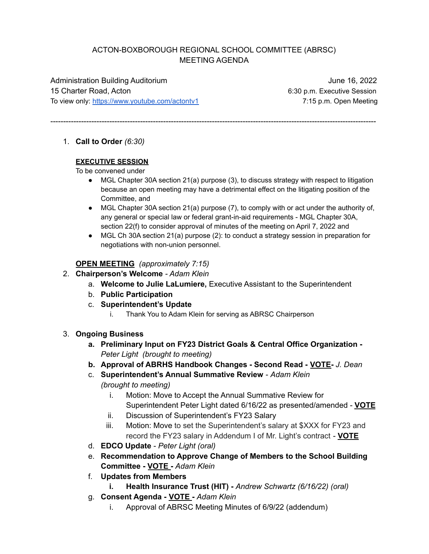### ACTON-BOXBOROUGH REGIONAL SCHOOL COMMITTEE (ABRSC) MEETING AGENDA

-------------------------------------------------------------------------------------------------------------------------------

Administration Building Auditorium **June 16, 2022** 15 Charter Road, Acton 6:30 p.m. Executive Session To view only: <https://www.youtube.com/actontv1> 7:15 p.m. Open Meeting

1. **Call to Order** *(6:30)*

# **EXECUTIVE SESSION**

To be convened under

- MGL Chapter 30A section 21(a) purpose (3), to discuss strategy with respect to litigation because an open meeting may have a detrimental effect on the litigating position of the Committee, and
- MGL Chapter 30A section 21(a) purpose (7), to comply with or act under the authority of, any general or special law or federal grant-in-aid requirements - MGL Chapter 30A, section 22(f) to consider approval of minutes of the meeting on April 7, 2022 and
- MGL Ch 30A section 21(a) purpose (2): to conduct a strategy session in preparation for negotiations with non-union personnel.

#### **OPEN MEETING** *(approximately 7:15)*

- 2. **Chairperson's Welcome** *- Adam Klein*
	- a. **Welcome to Julie LaLumiere,** Executive Assistant to the Superintendent
	- b. **Public Participation**
	- c. **Superintendent's Update**
		- i. Thank You to Adam Klein for serving as ABRSC Chairperson
- 3. **Ongoing Business**
	- **a. Preliminary Input on FY23 District Goals & Central Office Organization -** *Peter Light (brought to meeting)*
	- **b. Approval of ABRHS Handbook Changes - Second Read - VOTE-** *J. Dean*
	- c. **Superintendent's Annual Summative Review** *Adam Klein (brought to meeting)*
		- i. Motion: Move to Accept the Annual Summative Review for Superintendent Peter Light dated 6/16/22 as presented/amended - **VOTE**
		- ii. Discussion of Superintendent's FY23 Salary
		- iii. Motion: Move to set the Superintendent's salary at \$XXX for FY23 and record the FY23 salary in Addendum I of Mr. Light's contract - **VOTE**
	- d. **EDCO Update** *Peter Light (oral)*
	- e. **Recommendation to Approve Change of Members to the School Building Committee - VOTE -** *Adam Klein*
	- f. **Updates from Members**
		- **i. Health Insurance Trust (HIT) -** *Andrew Schwartz (6/16/22) (oral)*
	- g. **Consent Agenda - VOTE -** *Adam Klein*
		- i. Approval of ABRSC Meeting Minutes of 6/9/22 (addendum)